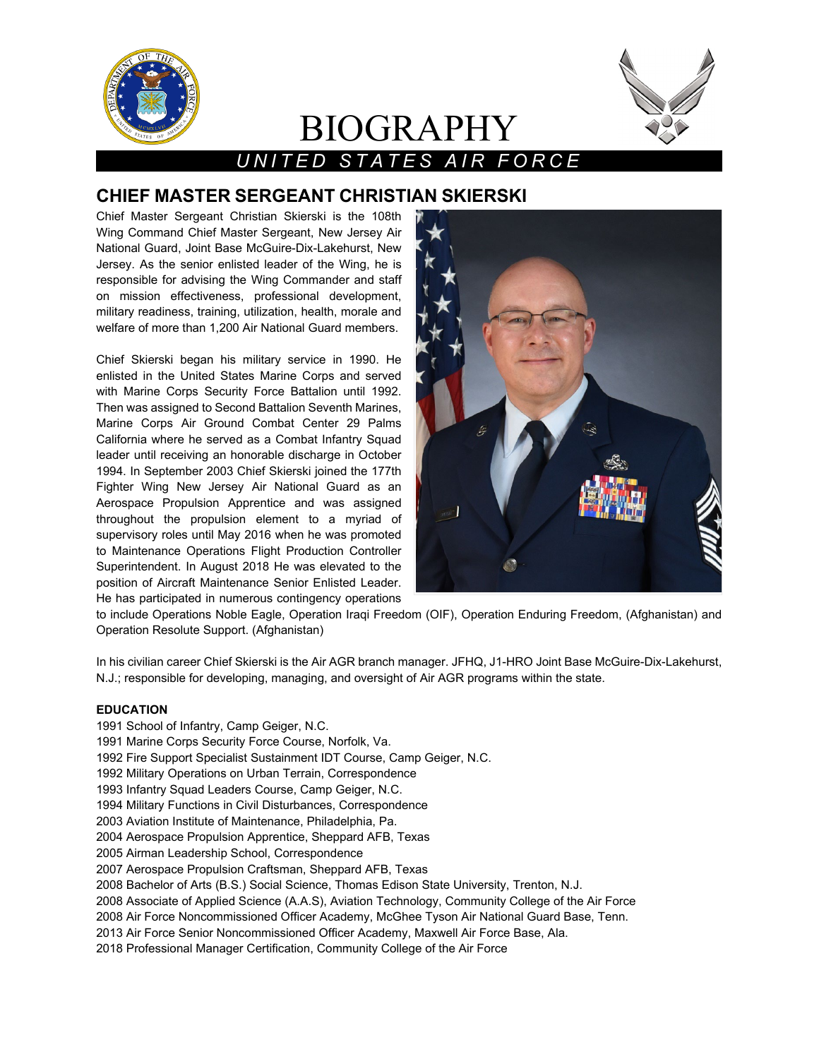

# BIOGRAPHY



## *UNITED STATES AIR FORCE*

### **CHIEF MASTER SERGEANT CHRISTIAN SKIERSKI**

Chief Master Sergeant Christian Skierski is the 108th Wing Command Chief Master Sergeant, New Jersey Air National Guard, Joint Base McGuire-Dix-Lakehurst, New Jersey. As the senior enlisted leader of the Wing, he is responsible for advising the Wing Commander and staff on mission effectiveness, professional development, military readiness, training, utilization, health, morale and welfare of more than 1,200 Air National Guard members.

Chief Skierski began his military service in 1990. He enlisted in the United States Marine Corps and served with Marine Corps Security Force Battalion until 1992. Then was assigned to Second Battalion Seventh Marines, Marine Corps Air Ground Combat Center 29 Palms California where he served as a Combat Infantry Squad leader until receiving an honorable discharge in October 1994. In September 2003 Chief Skierski joined the 177th Fighter Wing New Jersey Air National Guard as an Aerospace Propulsion Apprentice and was assigned throughout the propulsion element to a myriad of supervisory roles until May 2016 when he was promoted to Maintenance Operations Flight Production Controller Superintendent. In August 2018 He was elevated to the position of Aircraft Maintenance Senior Enlisted Leader. He has participated in numerous contingency operations



to include Operations Noble Eagle, Operation Iraqi Freedom (OIF), Operation Enduring Freedom, (Afghanistan) and Operation Resolute Support. (Afghanistan)

In his civilian career Chief Skierski is the Air AGR branch manager. JFHQ, J1-HRO Joint Base McGuire-Dix-Lakehurst, N.J.; responsible for developing, managing, and oversight of Air AGR programs within the state.

#### **EDUCATION**

- 1991 School of Infantry, Camp Geiger, N.C.
- 1991 Marine Corps Security Force Course, Norfolk, Va.
- 1992 Fire Support Specialist Sustainment IDT Course, Camp Geiger, N.C.
- 1992 Military Operations on Urban Terrain, Correspondence
- 1993 Infantry Squad Leaders Course, Camp Geiger, N.C.
- 1994 Military Functions in Civil Disturbances, Correspondence
- 2003 Aviation Institute of Maintenance, Philadelphia, Pa.
- 2004 Aerospace Propulsion Apprentice, Sheppard AFB, Texas
- 2005 Airman Leadership School, Correspondence
- 2007 Aerospace Propulsion Craftsman, Sheppard AFB, Texas
- 2008 Bachelor of Arts (B.S.) Social Science, Thomas Edison State University, Trenton, N.J.
- 2008 Associate of Applied Science (A.A.S), Aviation Technology, Community College of the Air Force
- 2008 Air Force Noncommissioned Officer Academy, McGhee Tyson Air National Guard Base, Tenn.
- 2013 Air Force Senior Noncommissioned Officer Academy, Maxwell Air Force Base, Ala.
- 2018 Professional Manager Certification, Community College of the Air Force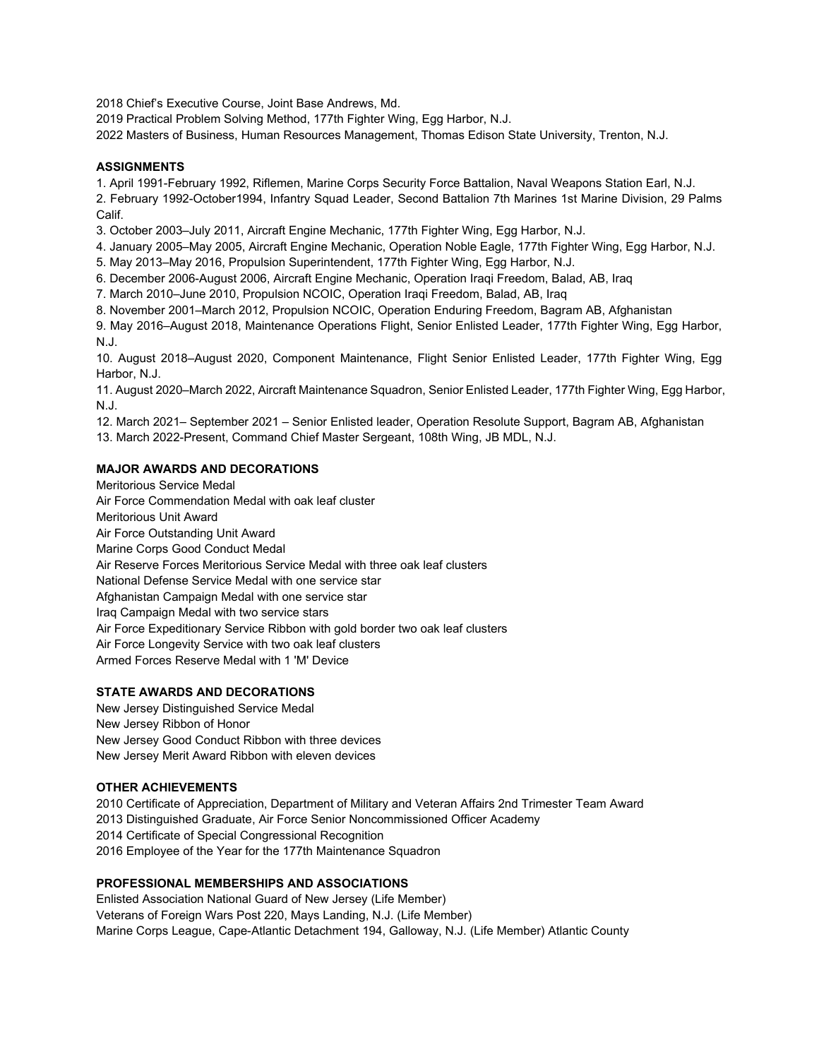2018 Chief's Executive Course, Joint Base Andrews, Md.

2019 Practical Problem Solving Method, 177th Fighter Wing, Egg Harbor, N.J.

2022 Masters of Business, Human Resources Management, Thomas Edison State University, Trenton, N.J.

#### **ASSIGNMENTS**

1. April 1991-February 1992, Riflemen, Marine Corps Security Force Battalion, Naval Weapons Station Earl, N.J.

2. February 1992-October1994, Infantry Squad Leader, Second Battalion 7th Marines 1st Marine Division, 29 Palms Calif.

3. October 2003–July 2011, Aircraft Engine Mechanic, 177th Fighter Wing, Egg Harbor, N.J.

4. January 2005–May 2005, Aircraft Engine Mechanic, Operation Noble Eagle, 177th Fighter Wing, Egg Harbor, N.J.

- 5. May 2013–May 2016, Propulsion Superintendent, 177th Fighter Wing, Egg Harbor, N.J.
- 6. December 2006-August 2006, Aircraft Engine Mechanic, Operation Iraqi Freedom, Balad, AB, Iraq

7. March 2010–June 2010, Propulsion NCOIC, Operation Iraqi Freedom, Balad, AB, Iraq

8. November 2001–March 2012, Propulsion NCOIC, Operation Enduring Freedom, Bagram AB, Afghanistan

9. May 2016–August 2018, Maintenance Operations Flight, Senior Enlisted Leader, 177th Fighter Wing, Egg Harbor, N.J.

10. August 2018–August 2020, Component Maintenance, Flight Senior Enlisted Leader, 177th Fighter Wing, Egg Harbor, N.J.

11. August 2020–March 2022, Aircraft Maintenance Squadron, Senior Enlisted Leader, 177th Fighter Wing, Egg Harbor, N.J.

12. March 2021– September 2021 – Senior Enlisted leader, Operation Resolute Support, Bagram AB, Afghanistan 13. March 2022-Present, Command Chief Master Sergeant, 108th Wing, JB MDL, N.J.

#### **MAJOR AWARDS AND DECORATIONS**

Meritorious Service Medal Air Force Commendation Medal with oak leaf cluster Meritorious Unit Award Air Force Outstanding Unit Award Marine Corps Good Conduct Medal Air Reserve Forces Meritorious Service Medal with three oak leaf clusters National Defense Service Medal with one service star Afghanistan Campaign Medal with one service star Iraq Campaign Medal with two service stars Air Force Expeditionary Service Ribbon with gold border two oak leaf clusters Air Force Longevity Service with two oak leaf clusters Armed Forces Reserve Medal with 1 'M' Device

#### **STATE AWARDS AND DECORATIONS**

New Jersey Distinguished Service Medal New Jersey Ribbon of Honor New Jersey Good Conduct Ribbon with three devices New Jersey Merit Award Ribbon with eleven devices

#### **OTHER ACHIEVEMENTS**

2010 Certificate of Appreciation, Department of Military and Veteran Affairs 2nd Trimester Team Award 2013 Distinguished Graduate, Air Force Senior Noncommissioned Officer Academy 2014 Certificate of Special Congressional Recognition 2016 Employee of the Year for the 177th Maintenance Squadron

**PROFESSIONAL MEMBERSHIPS AND ASSOCIATIONS**

Enlisted Association National Guard of New Jersey (Life Member) Veterans of Foreign Wars Post 220, Mays Landing, N.J. (Life Member) Marine Corps League, Cape-Atlantic Detachment 194, Galloway, N.J. (Life Member) Atlantic County